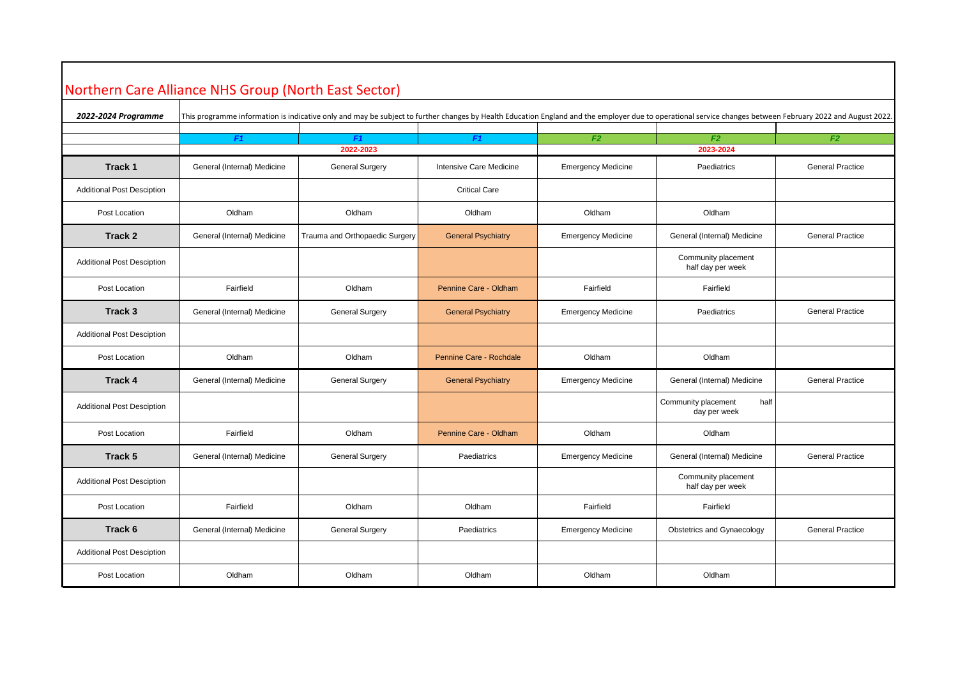## Northern Care Alliance NHS Group (North East Sector)

| 2022-2024 Programme               |                             | This programme information is indicative only and may be subject to further changes by Health Education England and the employer due to operational service changes between February 2022 and August 2022. |                           |                           |                                             |                         |
|-----------------------------------|-----------------------------|------------------------------------------------------------------------------------------------------------------------------------------------------------------------------------------------------------|---------------------------|---------------------------|---------------------------------------------|-------------------------|
|                                   | F1                          | F <sub>1</sub>                                                                                                                                                                                             | F1                        | F <sub>2</sub>            | F <sub>2</sub>                              | F2                      |
|                                   | 2022-2023                   |                                                                                                                                                                                                            |                           |                           | 2023-2024                                   |                         |
| Track 1                           | General (Internal) Medicine | <b>General Surgery</b>                                                                                                                                                                                     | Intensive Care Medicine   | <b>Emergency Medicine</b> | Paediatrics                                 | <b>General Practice</b> |
| <b>Additional Post Desciption</b> |                             |                                                                                                                                                                                                            | <b>Critical Care</b>      |                           |                                             |                         |
| Post Location                     | Oldham                      | Oldham                                                                                                                                                                                                     | Oldham                    | Oldham                    | Oldham                                      |                         |
| Track 2                           | General (Internal) Medicine | Trauma and Orthopaedic Surgery                                                                                                                                                                             | <b>General Psychiatry</b> | <b>Emergency Medicine</b> | General (Internal) Medicine                 | <b>General Practice</b> |
| <b>Additional Post Desciption</b> |                             |                                                                                                                                                                                                            |                           |                           | Community placement<br>half day per week    |                         |
| Post Location                     | Fairfield                   | Oldham                                                                                                                                                                                                     | Pennine Care - Oldham     | Fairfield                 | Fairfield                                   |                         |
| Track 3                           | General (Internal) Medicine | <b>General Surgery</b>                                                                                                                                                                                     | <b>General Psychiatry</b> | <b>Emergency Medicine</b> | Paediatrics                                 | <b>General Practice</b> |
| <b>Additional Post Desciption</b> |                             |                                                                                                                                                                                                            |                           |                           |                                             |                         |
| Post Location                     | Oldham                      | Oldham                                                                                                                                                                                                     | Pennine Care - Rochdale   | Oldham                    | Oldham                                      |                         |
| <b>Track 4</b>                    | General (Internal) Medicine | <b>General Surgery</b>                                                                                                                                                                                     | <b>General Psychiatry</b> | <b>Emergency Medicine</b> | General (Internal) Medicine                 | <b>General Practice</b> |
| <b>Additional Post Desciption</b> |                             |                                                                                                                                                                                                            |                           |                           | Community placement<br>half<br>day per week |                         |
| Post Location                     | Fairfield                   | Oldham                                                                                                                                                                                                     | Pennine Care - Oldham     | Oldham                    | Oldham                                      |                         |
| Track 5                           | General (Internal) Medicine | <b>General Surgery</b>                                                                                                                                                                                     | Paediatrics               | <b>Emergency Medicine</b> | General (Internal) Medicine                 | <b>General Practice</b> |
| <b>Additional Post Desciption</b> |                             |                                                                                                                                                                                                            |                           |                           | Community placement<br>half day per week    |                         |
| Post Location                     | Fairfield                   | Oldham                                                                                                                                                                                                     | Oldham                    | Fairfield                 | Fairfield                                   |                         |
| Track 6                           | General (Internal) Medicine | <b>General Surgery</b>                                                                                                                                                                                     | Paediatrics               | <b>Emergency Medicine</b> | Obstetrics and Gynaecology                  | <b>General Practice</b> |
| <b>Additional Post Desciption</b> |                             |                                                                                                                                                                                                            |                           |                           |                                             |                         |
| Post Location                     | Oldham                      | Oldham                                                                                                                                                                                                     | Oldham                    | Oldham                    | Oldham                                      |                         |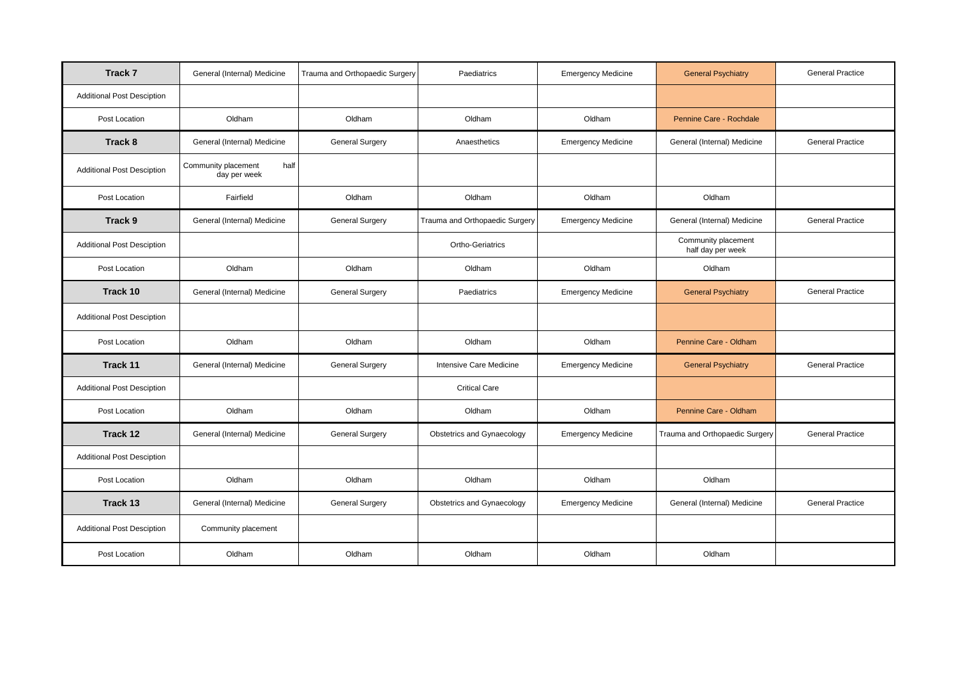| Track 7                           | General (Internal) Medicine                 | Trauma and Orthopaedic Surgery | Paediatrics                    | <b>Emergency Medicine</b> | <b>General Psychiatry</b>                | <b>General Practice</b> |
|-----------------------------------|---------------------------------------------|--------------------------------|--------------------------------|---------------------------|------------------------------------------|-------------------------|
| <b>Additional Post Desciption</b> |                                             |                                |                                |                           |                                          |                         |
| Post Location                     | Oldham                                      | Oldham                         | Oldham                         | Oldham                    | Pennine Care - Rochdale                  |                         |
| Track 8                           | General (Internal) Medicine                 | <b>General Surgery</b>         | Anaesthetics                   | <b>Emergency Medicine</b> | General (Internal) Medicine              | <b>General Practice</b> |
| <b>Additional Post Desciption</b> | Community placement<br>half<br>day per week |                                |                                |                           |                                          |                         |
| Post Location                     | Fairfield                                   | Oldham                         | Oldham                         | Oldham                    | Oldham                                   |                         |
| Track 9                           | General (Internal) Medicine                 | <b>General Surgery</b>         | Trauma and Orthopaedic Surgery | <b>Emergency Medicine</b> | General (Internal) Medicine              | <b>General Practice</b> |
| <b>Additional Post Desciption</b> |                                             |                                | Ortho-Geriatrics               |                           | Community placement<br>half day per week |                         |
| Post Location                     | Oldham                                      | Oldham                         | Oldham                         | Oldham                    | Oldham                                   |                         |
| Track 10                          | General (Internal) Medicine                 | <b>General Surgery</b>         | Paediatrics                    | <b>Emergency Medicine</b> | <b>General Psychiatry</b>                | <b>General Practice</b> |
| <b>Additional Post Desciption</b> |                                             |                                |                                |                           |                                          |                         |
| Post Location                     | Oldham                                      | Oldham                         | Oldham                         | Oldham                    | Pennine Care - Oldham                    |                         |
| Track 11                          | General (Internal) Medicine                 | <b>General Surgery</b>         | Intensive Care Medicine        | <b>Emergency Medicine</b> | <b>General Psychiatry</b>                | <b>General Practice</b> |
| <b>Additional Post Desciption</b> |                                             |                                | <b>Critical Care</b>           |                           |                                          |                         |
| Post Location                     | Oldham                                      | Oldham                         | Oldham                         | Oldham                    | Pennine Care - Oldham                    |                         |
| Track 12                          | General (Internal) Medicine                 | <b>General Surgery</b>         | Obstetrics and Gynaecology     | <b>Emergency Medicine</b> | Trauma and Orthopaedic Surgery           | <b>General Practice</b> |
| <b>Additional Post Desciption</b> |                                             |                                |                                |                           |                                          |                         |
| Post Location                     | Oldham                                      | Oldham                         | Oldham                         | Oldham                    | Oldham                                   |                         |
| Track 13                          | General (Internal) Medicine                 | <b>General Surgery</b>         | Obstetrics and Gynaecology     | <b>Emergency Medicine</b> | General (Internal) Medicine              | <b>General Practice</b> |
| <b>Additional Post Desciption</b> | Community placement                         |                                |                                |                           |                                          |                         |
| Post Location                     | Oldham                                      | Oldham                         | Oldham                         | Oldham                    | Oldham                                   |                         |